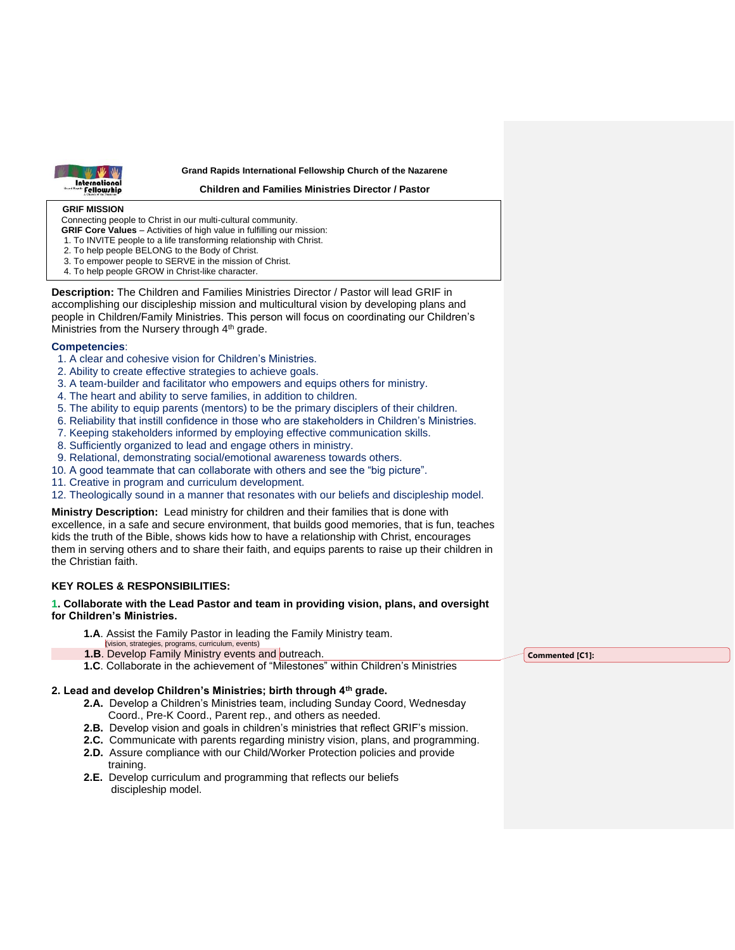

#### **Grand Rapids International Fellowship Church of the Nazarene**

**Children and Families Ministries Director / Pastor**

### **GRIF MISSION**

Connecting people to Christ in our multi-cultural community.

- **GRIF Core Values** Activities of high value in fulfilling our mission:
- 1. To INVITE people to a life transforming relationship with Christ.
- 2. To help people BELONG to the Body of Christ.
- 3. To empower people to SERVE in the mission of Christ.
- 4. To help people GROW in Christ-like character.

**Description:** The Children and Families Ministries Director / Pastor will lead GRIF in accomplishing our discipleship mission and multicultural vision by developing plans and people in Children/Family Ministries. This person will focus on coordinating our Children's Ministries from the Nursery through 4<sup>th</sup> grade.

## **Competencies**:

- 1. A clear and cohesive vision for Children's Ministries.
- 2. Ability to create effective strategies to achieve goals.
- 3. A team-builder and facilitator who empowers and equips others for ministry.
- 4. The heart and ability to serve families, in addition to children.
- 5. The ability to equip parents (mentors) to be the primary disciplers of their children.
- 6. Reliability that instill confidence in those who are stakeholders in Children's Ministries.
- 7. Keeping stakeholders informed by employing effective communication skills.
- 8. Sufficiently organized to lead and engage others in ministry.
- 9. Relational, demonstrating social/emotional awareness towards others.
- 10. A good teammate that can collaborate with others and see the "big picture".
- 11. Creative in program and curriculum development.

12. Theologically sound in a manner that resonates with our beliefs and discipleship model.

**Ministry Description:** Lead ministry for children and their families that is done with excellence, in a safe and secure environment, that builds good memories, that is fun, teaches kids the truth of the Bible, shows kids how to have a relationship with Christ, encourages them in serving others and to share their faith, and equips parents to raise up their children in the Christian faith.

## **KEY ROLES & RESPONSIBILITIES:**

#### **1. Collaborate with the Lead Pastor and team in providing vision, plans, and oversight for Children's Ministries.** Ī

- **1.A**. Assist the Family Pastor in leading the Family Ministry team.
- (vision, strategies, programs, curriculum, events) **1.B**. Develop Family Ministry events and outreach.
- **1.C**. Collaborate in the achievement of "Milestones" within Children's Ministries

## **2. Lead and develop Children's Ministries; birth through 4th grade.**

- **2.A.** Develop a Children's Ministries team, including Sunday Coord, Wednesday Coord., Pre-K Coord., Parent rep., and others as needed.
- **2.B.** Develop vision and goals in children's ministries that reflect GRIF's mission.
- **2.C.** Communicate with parents regarding ministry vision, plans, and programming.
- **2.D.** Assure compliance with our Child/Worker Protection policies and provide training.
- **2.E.** Develop curriculum and programming that reflects our beliefs discipleship model.

**Commented [C1]:**